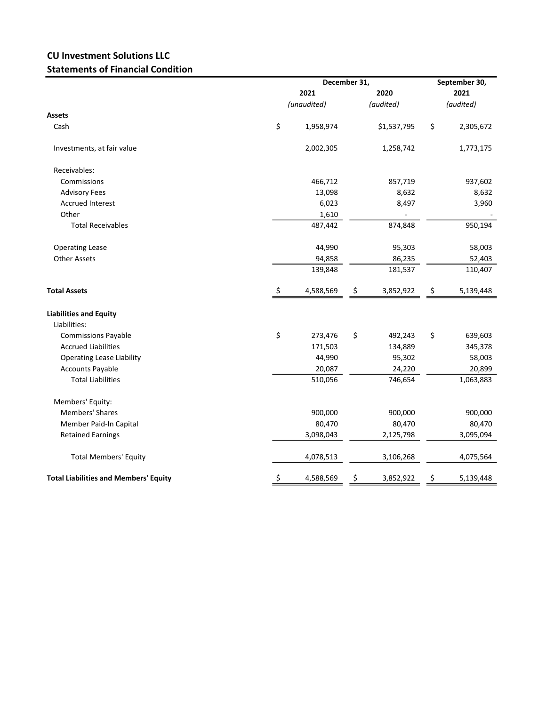## CU Investment Solutions LLC Statements of Financial Condition

|                                              |             | December 31, | September 30, |             |           |           |
|----------------------------------------------|-------------|--------------|---------------|-------------|-----------|-----------|
|                                              |             | 2021         | 2020          |             | 2021      |           |
|                                              | (unaudited) |              | (audited)     |             | (audited) |           |
| Assets                                       |             |              |               |             |           |           |
| Cash                                         | \$          | 1,958,974    |               | \$1,537,795 | \$        | 2,305,672 |
| Investments, at fair value                   |             | 2,002,305    |               | 1,258,742   |           | 1,773,175 |
| Receivables:                                 |             |              |               |             |           |           |
| Commissions                                  |             | 466,712      |               | 857,719     |           | 937,602   |
| <b>Advisory Fees</b>                         |             | 13,098       |               | 8,632       |           | 8,632     |
| <b>Accrued Interest</b>                      |             | 6,023        |               | 8,497       |           | 3,960     |
| Other                                        |             | 1,610        |               |             |           |           |
| <b>Total Receivables</b>                     |             | 487,442      |               | 874,848     |           | 950,194   |
| <b>Operating Lease</b>                       |             | 44,990       |               | 95,303      |           | 58,003    |
| <b>Other Assets</b>                          |             | 94,858       |               | 86,235      |           | 52,403    |
|                                              |             | 139,848      |               | 181,537     |           | 110,407   |
| <b>Total Assets</b>                          | \$          | 4,588,569    | \$            | 3,852,922   | \$        | 5,139,448 |
| <b>Liabilities and Equity</b>                |             |              |               |             |           |           |
| Liabilities:                                 |             |              |               |             |           |           |
| <b>Commissions Payable</b>                   | \$          | 273,476      | \$            | 492,243     | \$        | 639,603   |
| <b>Accrued Liabilities</b>                   |             | 171,503      |               | 134,889     |           | 345,378   |
| <b>Operating Lease Liability</b>             |             | 44,990       |               | 95,302      |           | 58,003    |
| <b>Accounts Payable</b>                      |             | 20,087       |               | 24,220      |           | 20,899    |
| <b>Total Liabilities</b>                     |             | 510,056      |               | 746,654     |           | 1,063,883 |
| Members' Equity:                             |             |              |               |             |           |           |
| <b>Members' Shares</b>                       |             | 900,000      |               | 900,000     |           | 900,000   |
| Member Paid-In Capital                       |             | 80,470       |               | 80,470      |           | 80,470    |
| <b>Retained Earnings</b>                     |             | 3,098,043    |               | 2,125,798   |           | 3,095,094 |
| <b>Total Members' Equity</b>                 |             | 4,078,513    |               | 3,106,268   |           | 4,075,564 |
| <b>Total Liabilities and Members' Equity</b> | \$          | 4,588,569    | Ş             | 3,852,922   | \$        | 5,139,448 |